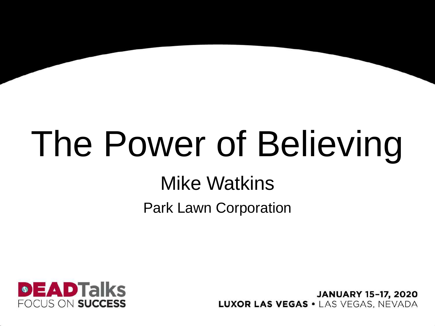### The Power of Believing

#### Mike Watkins

Park Lawn Corporation



**JANUARY 15-17, 2020** LUXOR LAS VEGAS . LAS VEGAS, NEVADA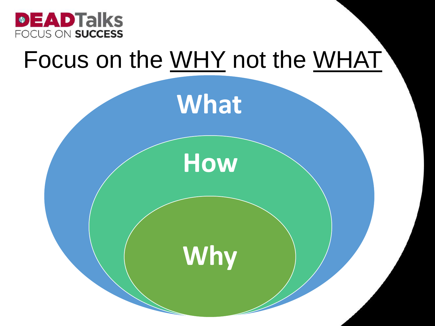

#### Focus on the WHY not the WHAT

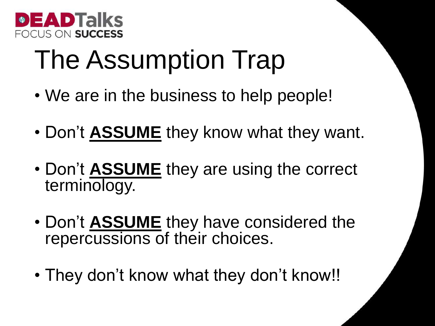

#### The Assumption Trap

- We are in the business to help people!
- Don't **ASSUME** they know what they want.
- Don't **ASSUME** they are using the correct terminology.
- Don't **ASSUME** they have considered the repercussions of their choices.
- They don't know what they don't know!!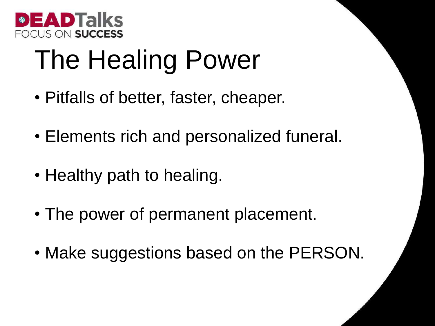

### The Healing Power

- Pitfalls of better, faster, cheaper.
- Elements rich and personalized funeral.
- Healthy path to healing.
- The power of permanent placement.
- Make suggestions based on the PERSON.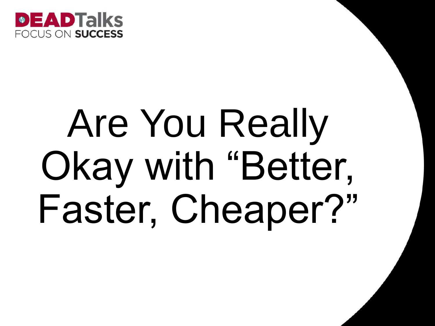

## Are You Really Okay with "Better, Faster, Cheaper?"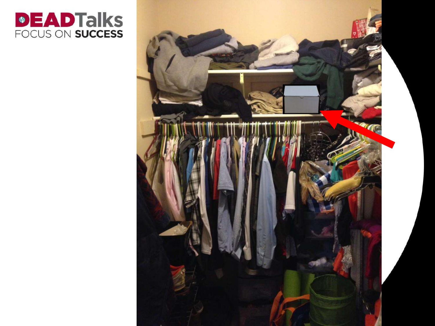

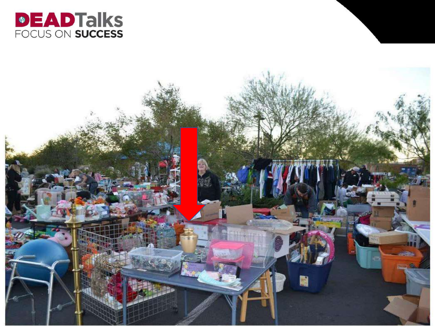

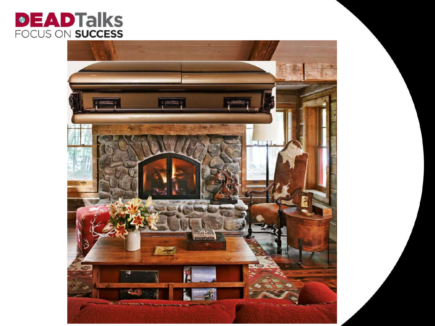

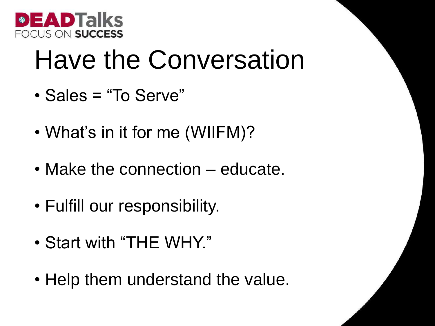

#### Have the Conversation

- Sales = "To Serve"
- What's in it for me (WIIFM)?
- Make the connection educate.
- Fulfill our responsibility.
- Start with "THE WHY."
- Help them understand the value.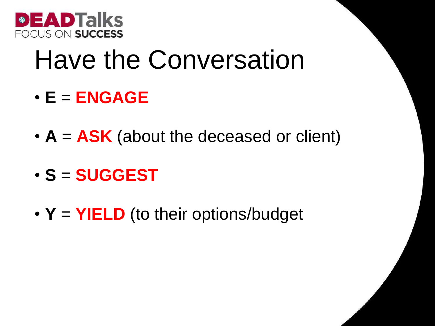

#### Have the Conversation

- **E** = **ENGAGE**
- **A** = **ASK** (about the deceased or client)
- **S** = **SUGGEST**
- **Y** = **YIELD** (to their options/budget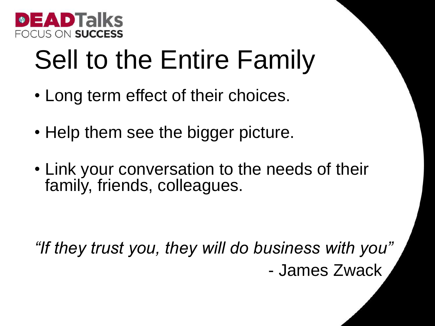

#### Sell to the Entire Family

- Long term effect of their choices.
- Help them see the bigger picture.
- Link your conversation to the needs of their family, friends, colleagues.

*"If they trust you, they will do business with you"* - James Zwack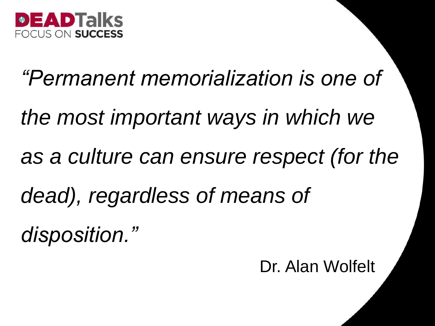

*"Permanent memorialization is one of the most important ways in which we as a culture can ensure respect (for the dead), regardless of means of disposition."*

Dr. Alan Wolfelt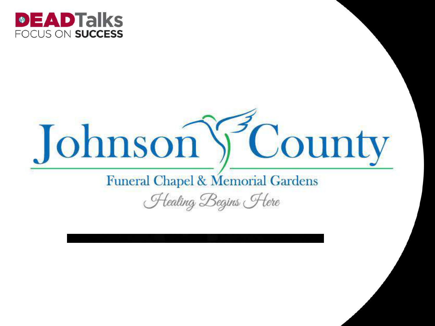

# Johnson \ County **Funeral Chapel & Memorial Gardens**

Healing Begins Here